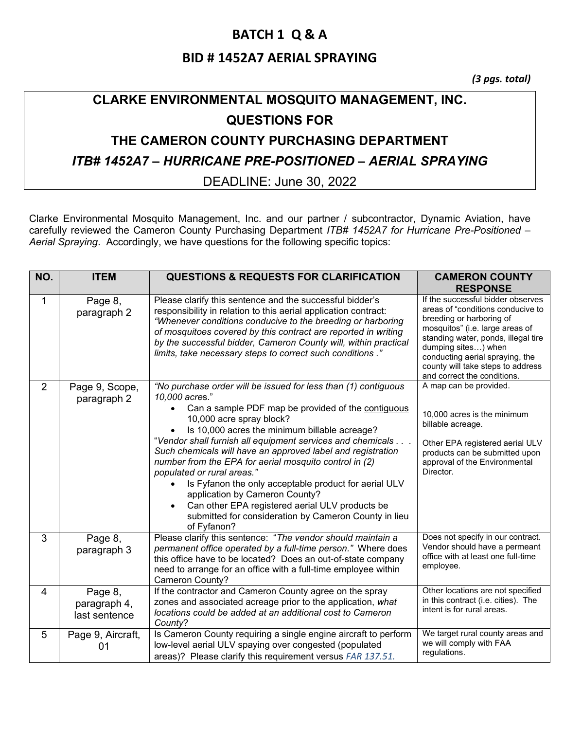### **BATCH 1 Q & A**

### **BID # 1452A7 AERIAL SPRAYING**

*(3 pgs. total)*

# **CLARKE ENVIRONMENTAL MOSQUITO MANAGEMENT, INC. QUESTIONS FOR**

# **THE CAMERON COUNTY PURCHASING DEPARTMENT**

#### *ITB# 1452A7 – HURRICANE PRE-POSITIONED – AERIAL SPRAYING*

#### DEADLINE: June 30, 2022

Clarke Environmental Mosquito Management, Inc. and our partner / subcontractor, Dynamic Aviation, have carefully reviewed the Cameron County Purchasing Department *ITB# 1452A7 for Hurricane Pre-Positioned – Aerial Spraying*. Accordingly, we have questions for the following specific topics:

| NO.            | <b>ITEM</b>                              | <b>QUESTIONS &amp; REQUESTS FOR CLARIFICATION</b>                                                                                                                                                                                                                                                                                                                                                                                                                                                                                                                                                                                                              | <b>CAMERON COUNTY</b><br><b>RESPONSE</b>                                                                                                                                                                                                                                                                   |
|----------------|------------------------------------------|----------------------------------------------------------------------------------------------------------------------------------------------------------------------------------------------------------------------------------------------------------------------------------------------------------------------------------------------------------------------------------------------------------------------------------------------------------------------------------------------------------------------------------------------------------------------------------------------------------------------------------------------------------------|------------------------------------------------------------------------------------------------------------------------------------------------------------------------------------------------------------------------------------------------------------------------------------------------------------|
| 1              | Page 8,<br>paragraph 2                   | Please clarify this sentence and the successful bidder's<br>responsibility in relation to this aerial application contract:<br>"Whenever conditions conducive to the breeding or harboring<br>of mosquitoes covered by this contract are reported in writing<br>by the successful bidder, Cameron County will, within practical<br>limits, take necessary steps to correct such conditions."                                                                                                                                                                                                                                                                   | If the successful bidder observes<br>areas of "conditions conducive to<br>breeding or harboring of<br>mosquitos" (i.e. large areas of<br>standing water, ponds, illegal tire<br>dumping sites) when<br>conducting aerial spraying, the<br>county will take steps to address<br>and correct the conditions. |
| $\overline{2}$ | Page 9, Scope,<br>paragraph 2            | "No purchase order will be issued for less than (1) contiguous<br>10,000 acres."<br>Can a sample PDF map be provided of the contiguous<br>10,000 acre spray block?<br>Is 10,000 acres the minimum billable acreage?<br>"Vendor shall furnish all equipment services and chemicals<br>Such chemicals will have an approved label and registration<br>number from the EPA for aerial mosquito control in (2)<br>populated or rural areas."<br>Is Fyfanon the only acceptable product for aerial ULV<br>application by Cameron County?<br>Can other EPA registered aerial ULV products be<br>submitted for consideration by Cameron County in lieu<br>of Fyfanon? | A map can be provided.<br>10,000 acres is the minimum<br>billable acreage.<br>Other EPA registered aerial ULV<br>products can be submitted upon<br>approval of the Environmental<br>Director.                                                                                                              |
| 3              | Page 8,<br>paragraph 3                   | Please clarify this sentence: "The vendor should maintain a<br>permanent office operated by a full-time person." Where does<br>this office have to be located? Does an out-of-state company<br>need to arrange for an office with a full-time employee within<br>Cameron County?                                                                                                                                                                                                                                                                                                                                                                               | Does not specify in our contract.<br>Vendor should have a permeant<br>office with at least one full-time<br>employee.                                                                                                                                                                                      |
| 4              | Page 8,<br>paragraph 4,<br>last sentence | If the contractor and Cameron County agree on the spray<br>zones and associated acreage prior to the application, what<br>locations could be added at an additional cost to Cameron<br>County?                                                                                                                                                                                                                                                                                                                                                                                                                                                                 | Other locations are not specified<br>in this contract (i.e. cities). The<br>intent is for rural areas.                                                                                                                                                                                                     |
| 5              | Page 9, Aircraft,<br>01                  | Is Cameron County requiring a single engine aircraft to perform<br>low-level aerial ULV spaying over congested (populated<br>areas)? Please clarify this requirement versus FAR 137.51.                                                                                                                                                                                                                                                                                                                                                                                                                                                                        | We target rural county areas and<br>we will comply with FAA<br>regulations.                                                                                                                                                                                                                                |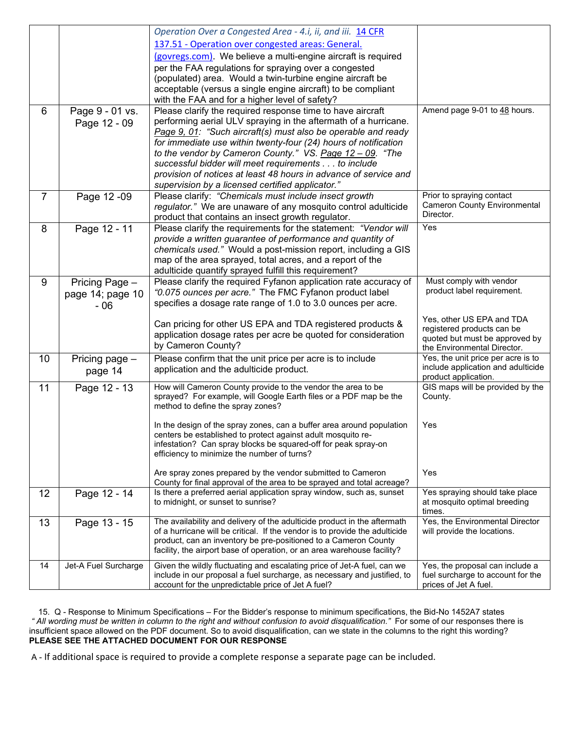|                 |                      | Operation Over a Congested Area - 4.i, ii, and iii. 14 CFR                                                                     |                                                          |
|-----------------|----------------------|--------------------------------------------------------------------------------------------------------------------------------|----------------------------------------------------------|
|                 |                      | 137.51 - Operation over congested areas: General.                                                                              |                                                          |
|                 |                      | (govregs.com). We believe a multi-engine aircraft is required                                                                  |                                                          |
|                 |                      | per the FAA regulations for spraying over a congested                                                                          |                                                          |
|                 |                      | (populated) area. Would a twin-turbine engine aircraft be                                                                      |                                                          |
|                 |                      | acceptable (versus a single engine aircraft) to be compliant                                                                   |                                                          |
|                 |                      | with the FAA and for a higher level of safety?                                                                                 |                                                          |
| 6               | Page 9 - 01 vs.      | Please clarify the required response time to have aircraft                                                                     | Amend page 9-01 to 48 hours.                             |
|                 | Page 12 - 09         | performing aerial ULV spraying in the aftermath of a hurricane.                                                                |                                                          |
|                 |                      | Page 9, 01: "Such aircraft(s) must also be operable and ready                                                                  |                                                          |
|                 |                      | for immediate use within twenty-four (24) hours of notification                                                                |                                                          |
|                 |                      | to the vendor by Cameron County." VS. Page 12 - 09. "The                                                                       |                                                          |
|                 |                      | successful bidder will meet requirements to include                                                                            |                                                          |
|                 |                      | provision of notices at least 48 hours in advance of service and                                                               |                                                          |
|                 |                      | supervision by a licensed certified applicator."                                                                               |                                                          |
| $\overline{7}$  | Page 12 - 09         | Please clarify: "Chemicals must include insect growth                                                                          | Prior to spraying contact                                |
|                 |                      | regulator." We are unaware of any mosquito control adulticide                                                                  | <b>Cameron County Environmental</b><br>Director.         |
|                 |                      | product that contains an insect growth regulator.                                                                              |                                                          |
| 8               | Page 12 - 11         | Please clarify the requirements for the statement: "Vendor will                                                                | Yes                                                      |
|                 |                      | provide a written guarantee of performance and quantity of<br>chemicals used." Would a post-mission report, including a GIS    |                                                          |
|                 |                      | map of the area sprayed, total acres, and a report of the                                                                      |                                                          |
|                 |                      | adulticide quantify sprayed fulfill this requirement?                                                                          |                                                          |
| 9               | Pricing Page -       | Please clarify the required Fyfanon application rate accuracy of                                                               | Must comply with vendor                                  |
|                 | page 14; page 10     | "0.075 ounces per acre." The FMC Fyfanon product label                                                                         | product label requirement.                               |
|                 | $-06$                | specifies a dosage rate range of 1.0 to 3.0 ounces per acre.                                                                   |                                                          |
|                 |                      |                                                                                                                                |                                                          |
|                 |                      | Can pricing for other US EPA and TDA registered products &                                                                     | Yes, other US EPA and TDA<br>registered products can be  |
|                 |                      | application dosage rates per acre be quoted for consideration                                                                  | quoted but must be approved by                           |
|                 |                      | by Cameron County?                                                                                                             | the Environmental Director.                              |
| 10 <sup>°</sup> | Pricing page -       | Please confirm that the unit price per acre is to include                                                                      | Yes, the unit price per acre is to                       |
|                 | page 14              | application and the adulticide product.                                                                                        | include application and adulticide                       |
| 11              |                      | How will Cameron County provide to the vendor the area to be                                                                   | product application.<br>GIS maps will be provided by the |
|                 | Page 12 - 13         | sprayed? For example, will Google Earth files or a PDF map be the                                                              | County.                                                  |
|                 |                      | method to define the spray zones?                                                                                              |                                                          |
|                 |                      |                                                                                                                                |                                                          |
|                 |                      | In the design of the spray zones, can a buffer area around population                                                          | Yes                                                      |
|                 |                      | centers be established to protect against adult mosquito re-<br>infestation? Can spray blocks be squared-off for peak spray-on |                                                          |
|                 |                      | efficiency to minimize the number of turns?                                                                                    |                                                          |
|                 |                      |                                                                                                                                |                                                          |
|                 |                      | Are spray zones prepared by the vendor submitted to Cameron                                                                    | Yes                                                      |
|                 |                      | County for final approval of the area to be sprayed and total acreage?                                                         |                                                          |
| 12 <sup>2</sup> | Page 12 - 14         | Is there a preferred aerial application spray window, such as, sunset                                                          | Yes spraying should take place                           |
|                 |                      | to midnight, or sunset to sunrise?                                                                                             | at mosquito optimal breeding<br>times.                   |
| 13              | Page 13 - 15         | The availability and delivery of the adulticide product in the aftermath                                                       | Yes, the Environmental Director                          |
|                 |                      | of a hurricane will be critical. If the vendor is to provide the adulticide                                                    | will provide the locations.                              |
|                 |                      | product, can an inventory be pre-positioned to a Cameron County                                                                |                                                          |
|                 |                      | facility, the airport base of operation, or an area warehouse facility?                                                        |                                                          |
| 14              | Jet-A Fuel Surcharge | Given the wildly fluctuating and escalating price of Jet-A fuel, can we                                                        | Yes, the proposal can include a                          |
|                 |                      | include in our proposal a fuel surcharge, as necessary and justified, to                                                       | fuel surcharge to account for the                        |
|                 |                      | account for the unpredictable price of Jet A fuel?                                                                             | prices of Jet A fuel.                                    |

 15. Q - Response to Minimum Specifications – For the Bidder's response to minimum specifications, the Bid-No 1452A7 states *" All wording must be written in column to the right and without confusion to avoid disqualification."* For some of our responses there is insufficient space allowed on the PDF document. So to avoid disqualification, can we state in the columns to the right this wording? **PLEASE SEE THE ATTACHED DOCUMENT FOR OUR RESPONSE**

A - If additional space is required to provide a complete response a separate page can be included.